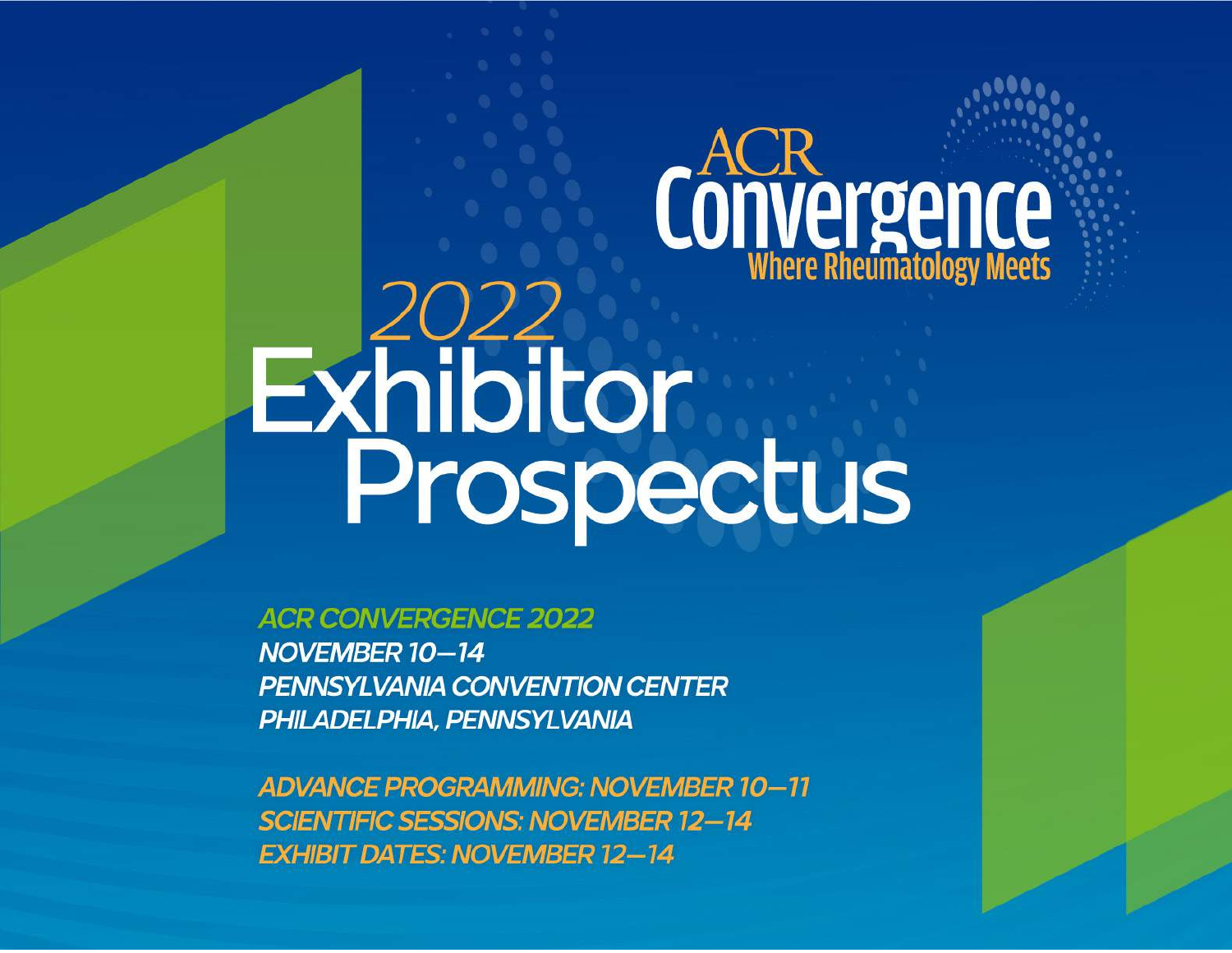# Convergence Exhibitor<br>Prospectus

**ACR CONVERGENCE 2022** NOVEMBER 10-14 **PENNSYLVANIA CONVENTION CENTER** PHILADELPHIA, PENNSYLVANIA

**ADVANCE PROGRAMMING: NOVEMBER 10-11 SCIENTIFIC SESSIONS: NOVEMBER 12-14 EXHIBIT DATES: NOVEMBER 12-14**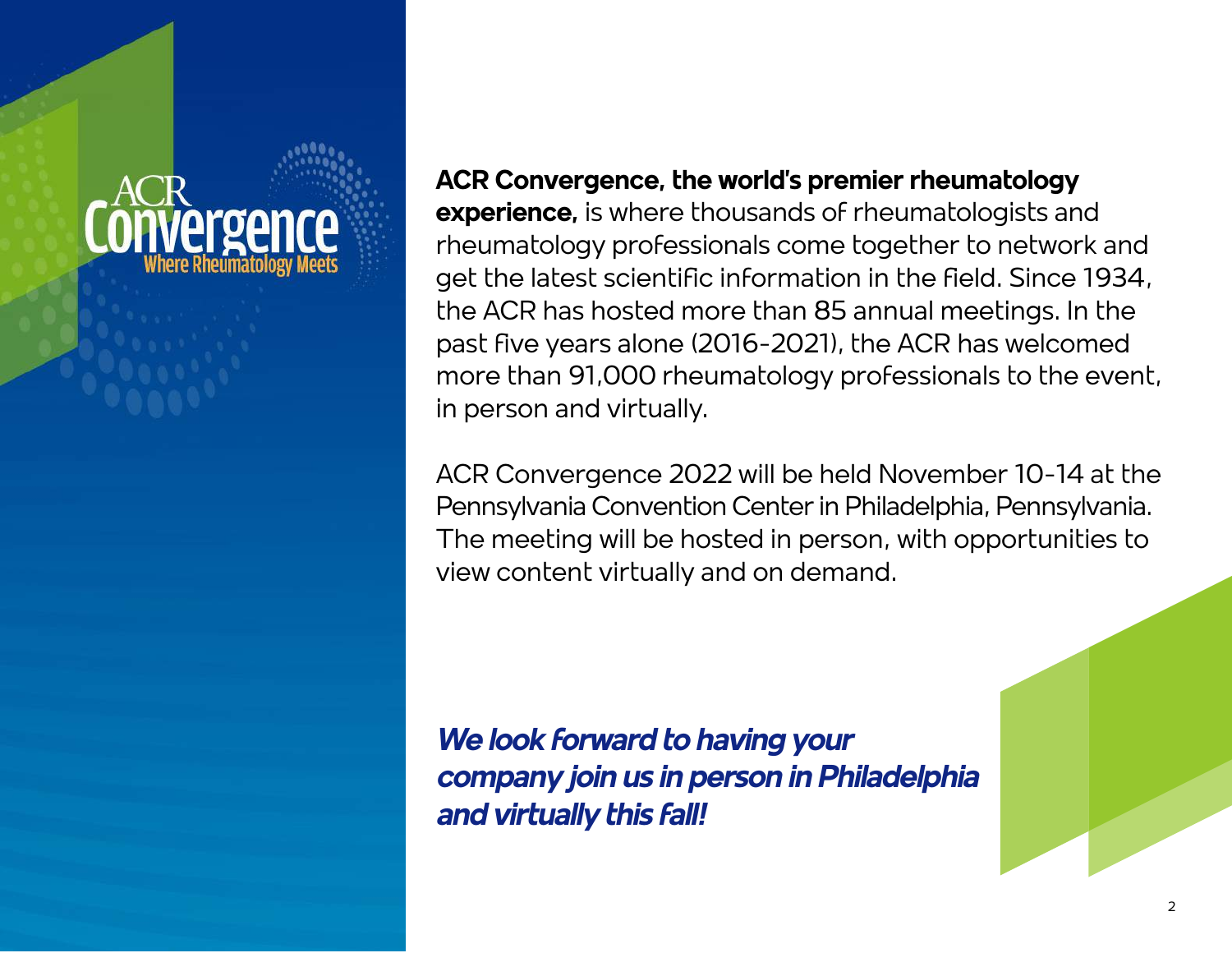### **ACR Convergence, the world's premier rheumatology**

**experience,** is where thousands of rheumatologists and rheumatology professionals come together to network and get the latest scientific information in the field. Since 1934, the ACR has hosted more than 85 annual meetings. In the past five years alone (2016-2021), the ACR has welcomed more than 91,000 rheumatology professionals to the event, in person and virtually.

ACR Convergence 2022 will be held November 10-14 at the Pennsylvania Convention Center in Philadelphia, Pennsylvania. The meeting will be hosted in person, with opportunities to view content virtually and on demand.

*We look forward to having your company join us in person in Philadelphia and virtually this fall!*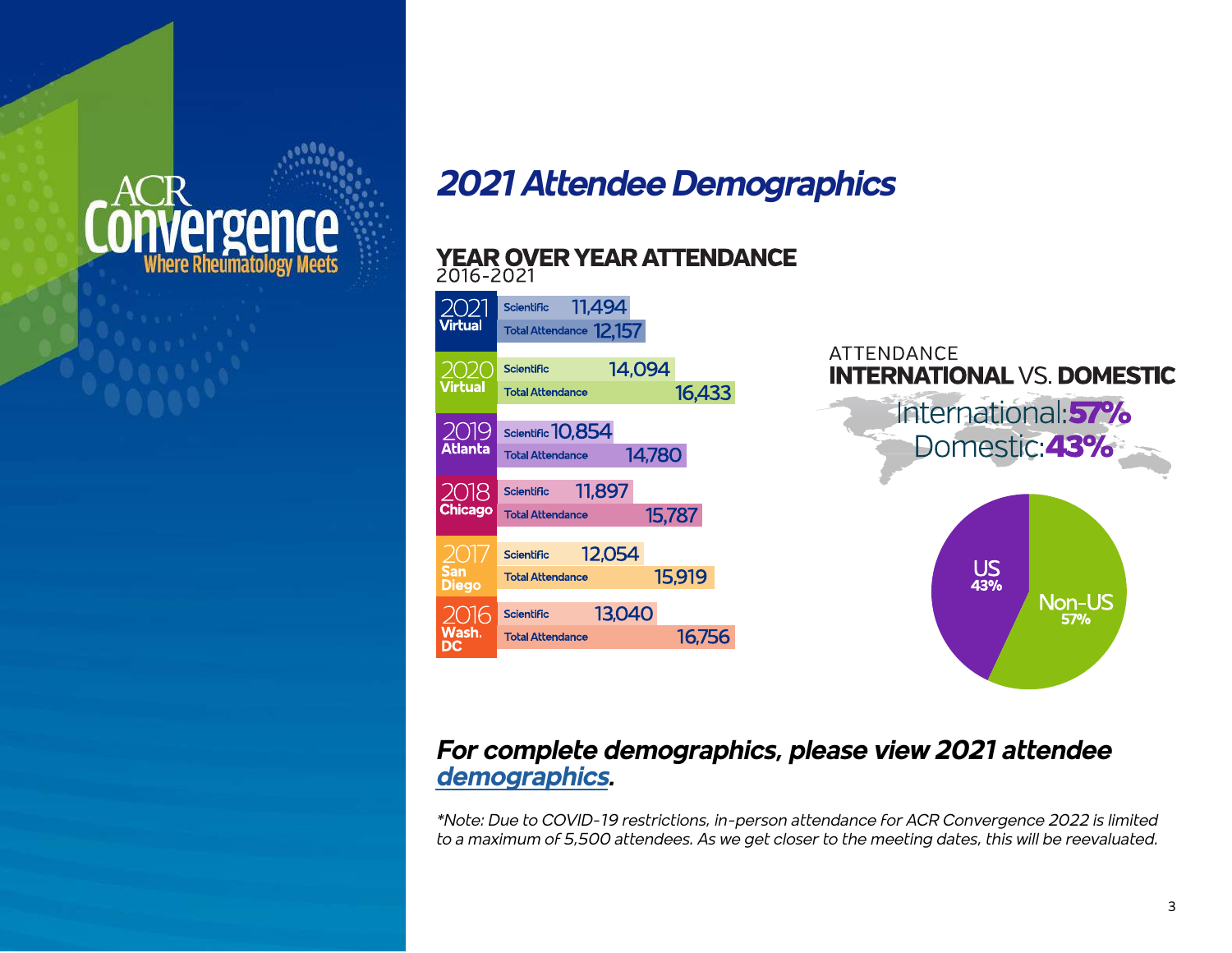### èrgence Where Rheumatology

### *2021 Attendee Demographics*

#### YEAR OVER YEAR ATTENDANCE 2016-2021



### *For complete demographics, please view 2021 attendee [demographics.](https://www.rheumatology.org/Portals/0/Files/Annual-Meeting-Attendee-Demographics.pdf)*

*\*Note: Due to COVID-19 restrictions, in-person attendance for ACR Convergence 2022 is limited to a maximum of 5,500 attendees. As we get closer to the meeting dates, this will be reevaluated.*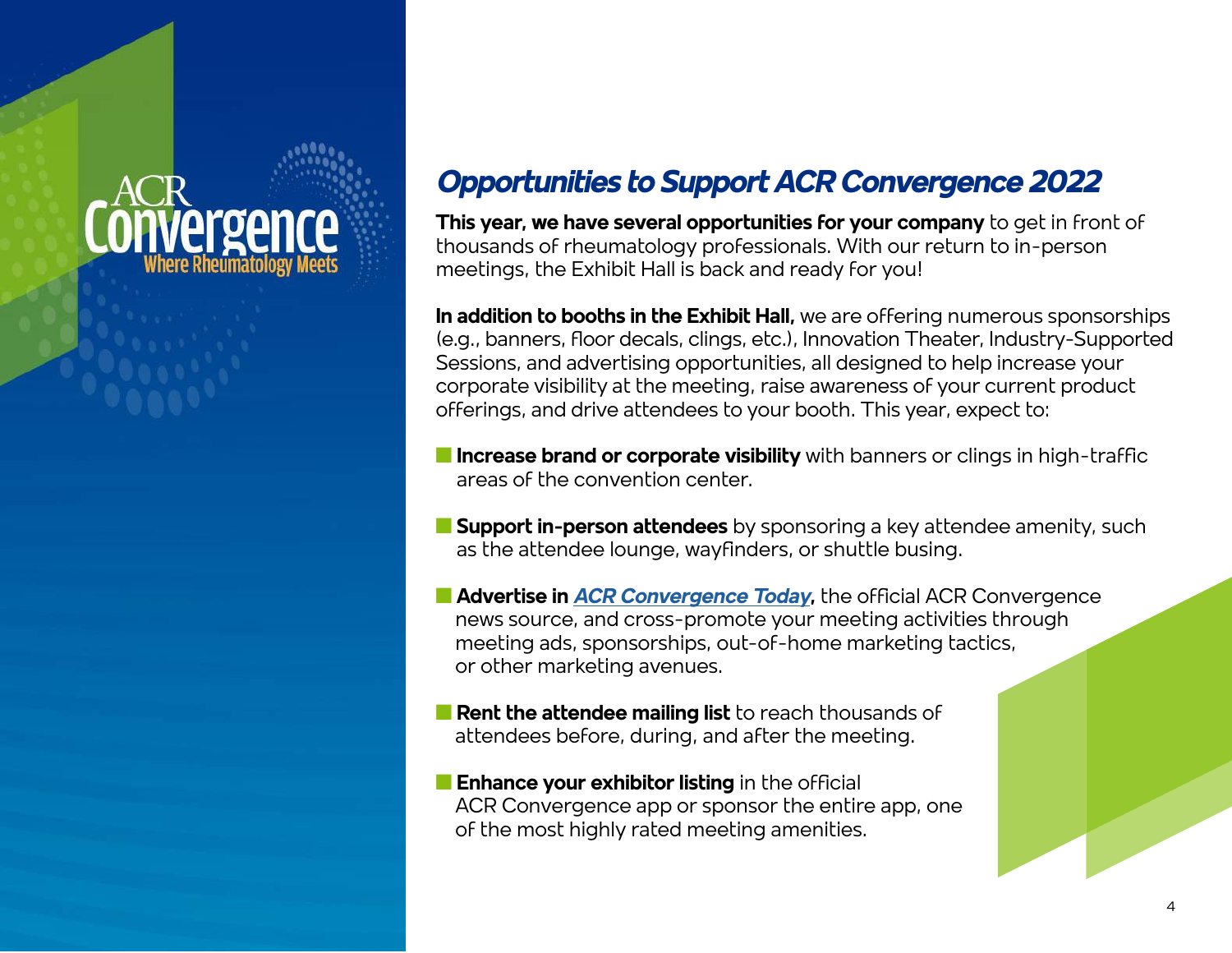### ρισρ

### *Opportunities to Support ACR Convergence 2022*

**This year, we have several opportunities for your company** to get in front of thousands of rheumatology professionals. With our return to in-person meetings, the Exhibit Hall is back and ready for you!

**In addition to booths in the Exhibit Hall,** we are offering numerous sponsorships (e.g., banners, floor decals, clings, etc.), Innovation Theater, Industry-Supported Sessions, and advertising opportunities, all designed to help increase your corporate visibility at the meeting, raise awareness of your current product offerings, and drive attendees to your booth. This year, expect to:

- **Increase brand or corporate visibility** with banners or clings in high-traffic areas of the convention center.
- **n Support in-person attendees** by sponsoring a key attendee amenity, such as the attendee lounge, wayfinders, or shuttle busing.
- **E Advertise in [ACR Convergence Today](https://www.acrconvergencetoday.org/), the official ACR Convergence**  news source, and cross-promote your meeting activities through meeting ads, sponsorships, out-of-home marketing tactics, or other marketing avenues.
- **n Rent the attendee mailing list** to reach thousands of attendees before, during, and after the meeting.
- **n Enhance your exhibitor listing** in the official ACR Convergence app or sponsor the entire app, one of the most highly rated meeting amenities.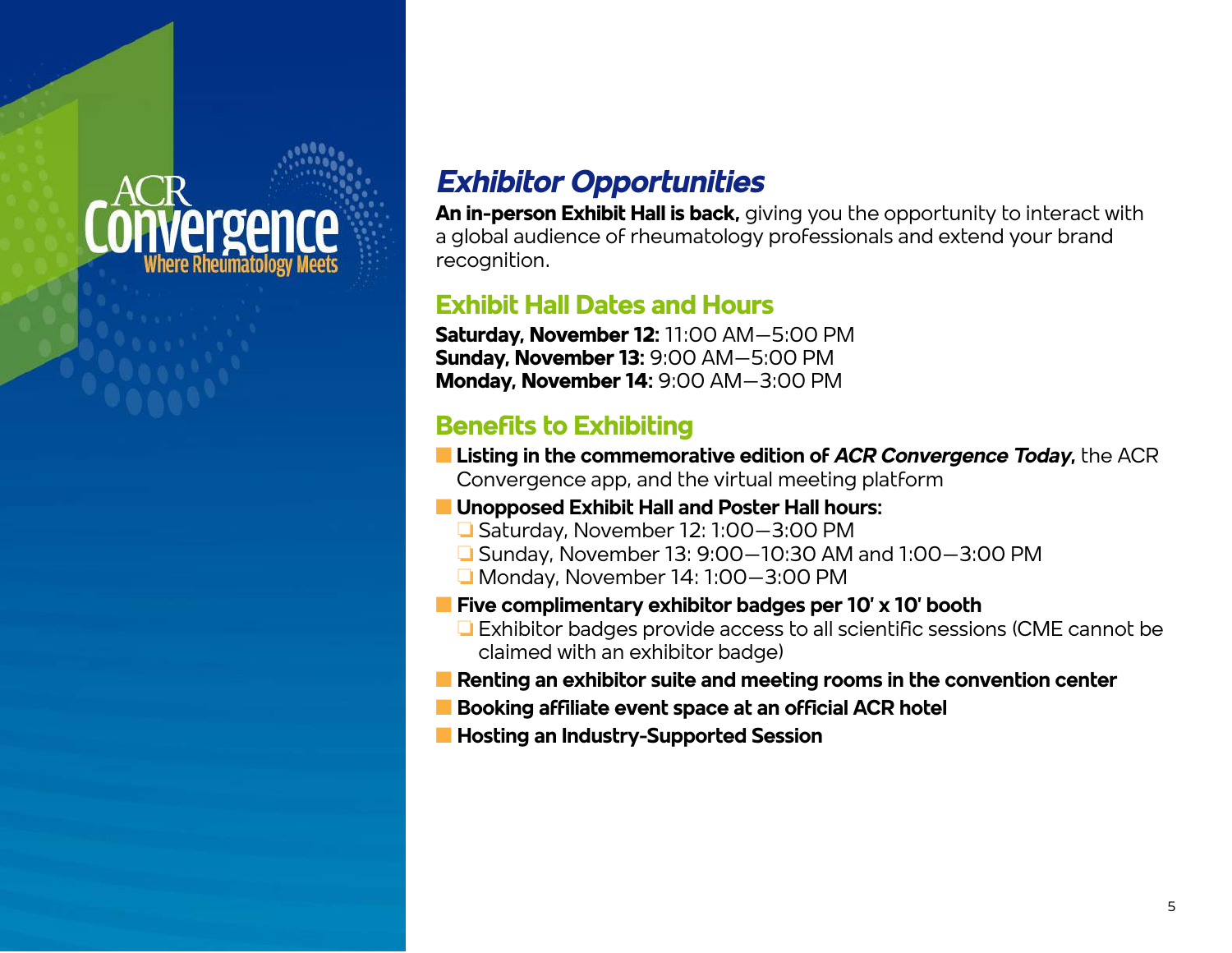### *rergence* Where Rheumatology

### *Exhibitor Opportunities*

**An in-person Exhibit Hall is back,** giving you the opportunity to interact with a global audience of rheumatology professionals and extend your brand recognition.

### **Exhibit Hall Dates and Hours**

**Saturday, November 12:** 11:00 AM–5:00 PM **Sunday, November 13:** 9:00 AM–5:00 PM **Monday, November 14:** 9:00 AM–3:00 PM

### **Benefits to Exhibiting**

- **n Listing in the commemorative edition of ACR Convergence Today, the ACR** Convergence app, and the virtual meeting platform
- **n** Unopposed Exhibit Hall and Poster Hall hours:
	- $\Box$  Saturday, November 12: 1:00–3:00 PM
	- $\Box$  Sunday, November 13: 9:00–10:30 AM and 1:00–3:00 PM
	- $\Box$  Monday, November 14: 1:00–3:00 PM
- **n** Five complimentary exhibitor badges per 10' x 10' booth
	- $\Box$  Exhibitor badges provide access to all scientific sessions (CME cannot be claimed with an exhibitor badge)
- **n Renting an exhibitor suite and meeting rooms in the convention center**
- **n** Booking affiliate event space at an official ACR hotel
- **n Hosting an Industry-Supported Session**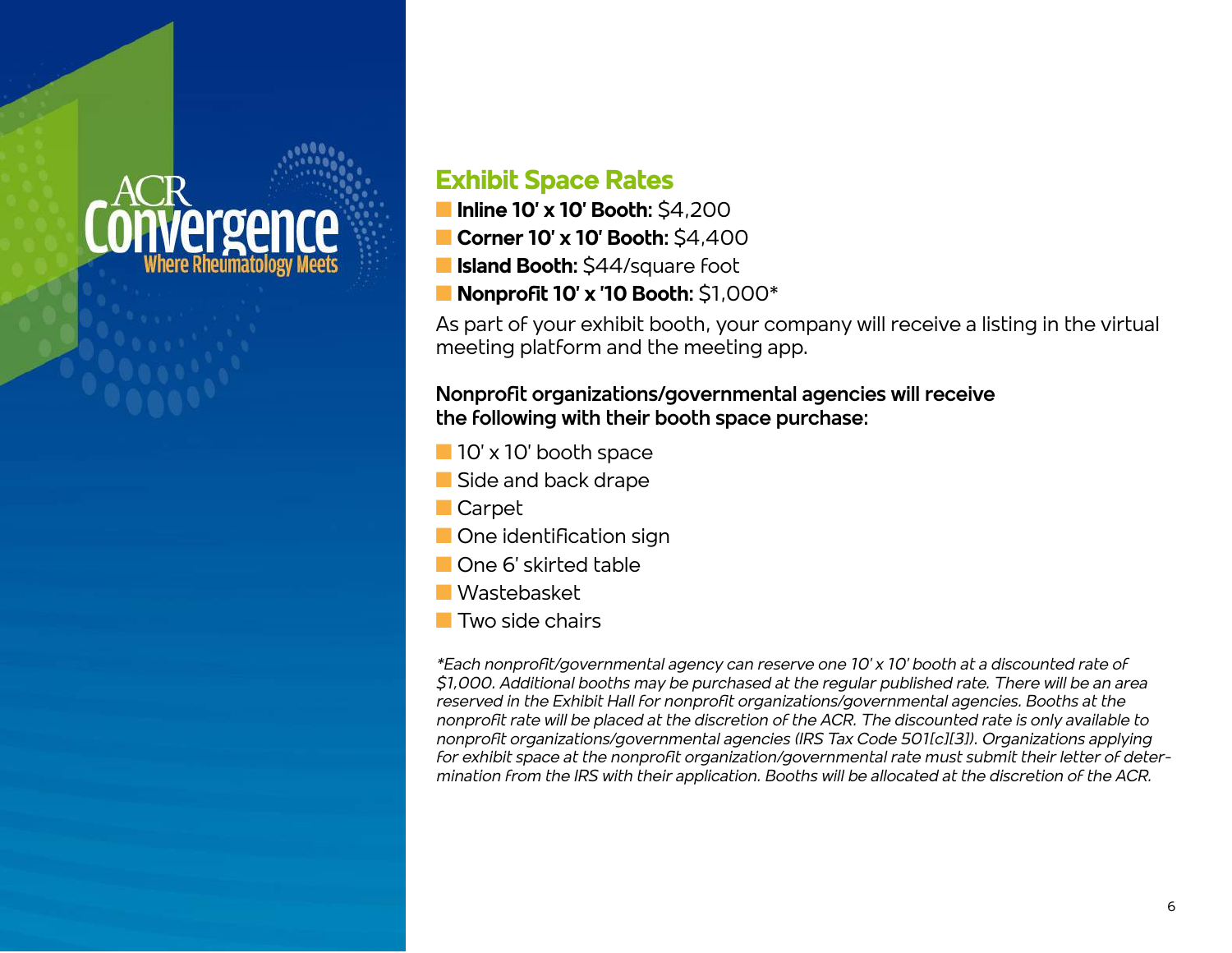### *rergen*

### **Exhibit Space Rates**

- **n Inline 10' x 10' Booth:** \$4,200
- **n** Corner 10' x 10' Booth: \$4,400
- **Island Booth:** \$44/square foot
- **n Nonprofit 10' x '10 Booth:** \$1,000\*

As part of your exhibit booth, your company will receive a listing in the virtual meeting platform and the meeting app.

#### **Nonprofit organizations/governmental agencies will receive the following with their booth space purchase:**

- $\blacksquare$  10' x 10' booth space
- Side and back drape
- **n** Carpet
- **n** One identification sign
- **n** One 6' skirted table
- **N** Wastebasket
- $\blacksquare$  Two side chairs

*\*Each nonprofit/governmental agency can reserve one 10' x 10' booth at a discounted rate of \$1,000. Additional booths may be purchased at the regular published rate. There will be an area reserved in the Exhibit Hall for nonprofit organizations/governmental agencies. Booths at the nonprofit rate will be placed at the discretion of the ACR. The discounted rate is only available to nonprofit organizations/governmental agencies (IRS Tax Code 501[c][3]). Organizations applying for exhibit space at the nonprofit organization/governmental rate must submit their letter of determination from the IRS with their application. Booths will be allocated at the discretion of the ACR.*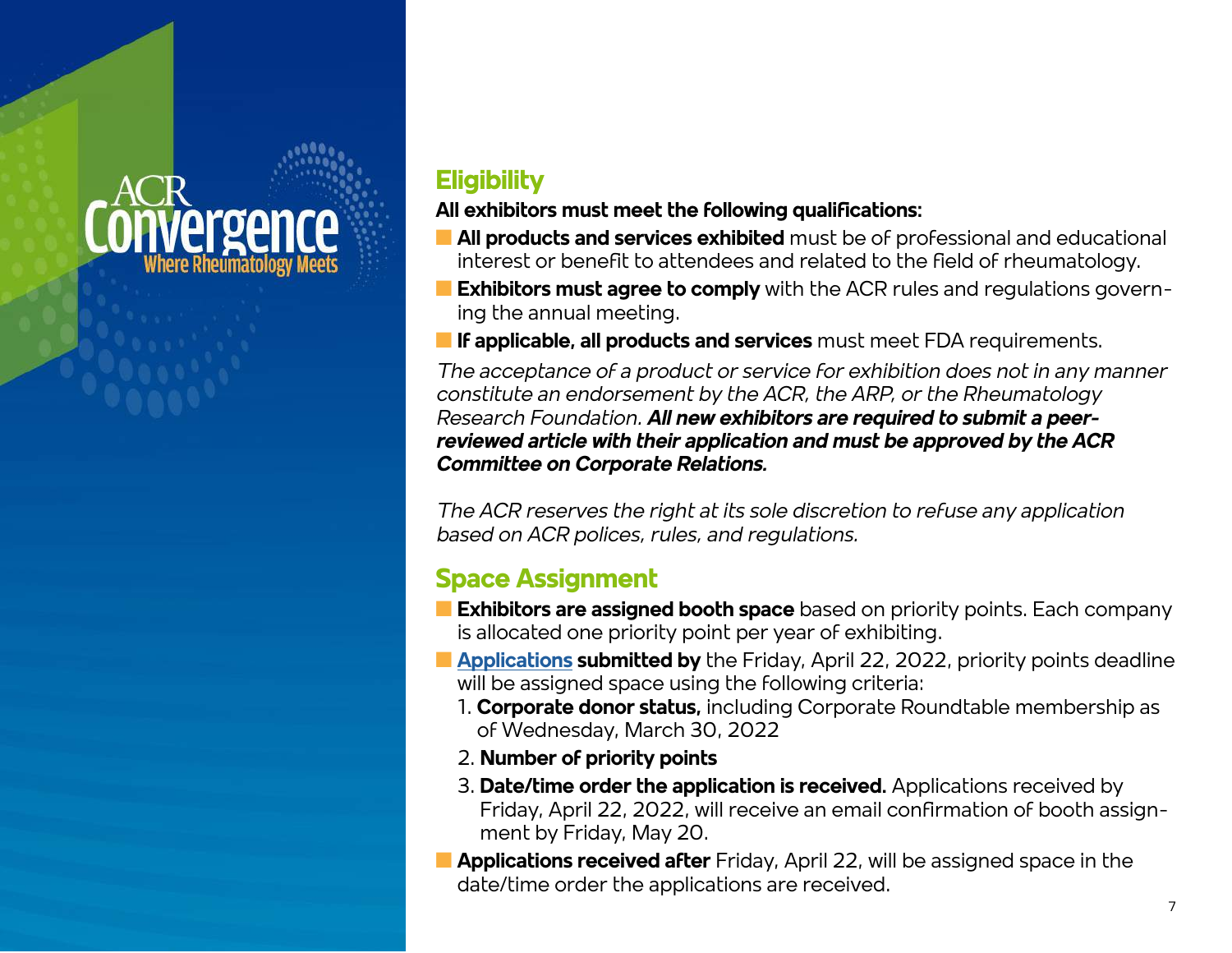### **Prger**

### **Eligibility**

### **All exhibitors must meet the following qualifications:**

- **n All products and services exhibited** must be of professional and educational interest or benefit to attendees and related to the field of rheumatology.
- **Exhibitors must agree to comply** with the ACR rules and regulations governing the annual meeting.

**If applicable, all products and services** must meet FDA requirements.

*The acceptance of a product or service for exhibition does not in any manner constitute an endorsement by the ACR, the ARP, or the Rheumatology Research Foundation. All new exhibitors are required to submit a peerreviewed article with their application and must be approved by the ACR Committee on Corporate Relations.*

*The ACR reserves the right at its sole discretion to refuse any application based on ACR polices, rules, and regulations.* 

### **Space Assignment**

- **Exhibitors are assigned booth space** based on priority points. Each company is allocated one priority point per year of exhibiting.
- **n [Applications](https://acr22.exh.mapyourshow.com/6_0/boothsales/index.cfm?) submitted by** the Friday, April 22, 2022, priority points deadline will be assigned space using the following criteria:
	- 1. **Corporate donor status,** including Corporate Roundtable membership as of Wednesday, March 30, 2022
	- 2. **Number of priority points**
	- 3. **Date/time order the application is received.** Applications received by Friday, April 22, 2022, will receive an email confirmation of booth assignment by Friday, May 20.
- **n Applications received after** Friday, April 22, will be assigned space in the date/time order the applications are received.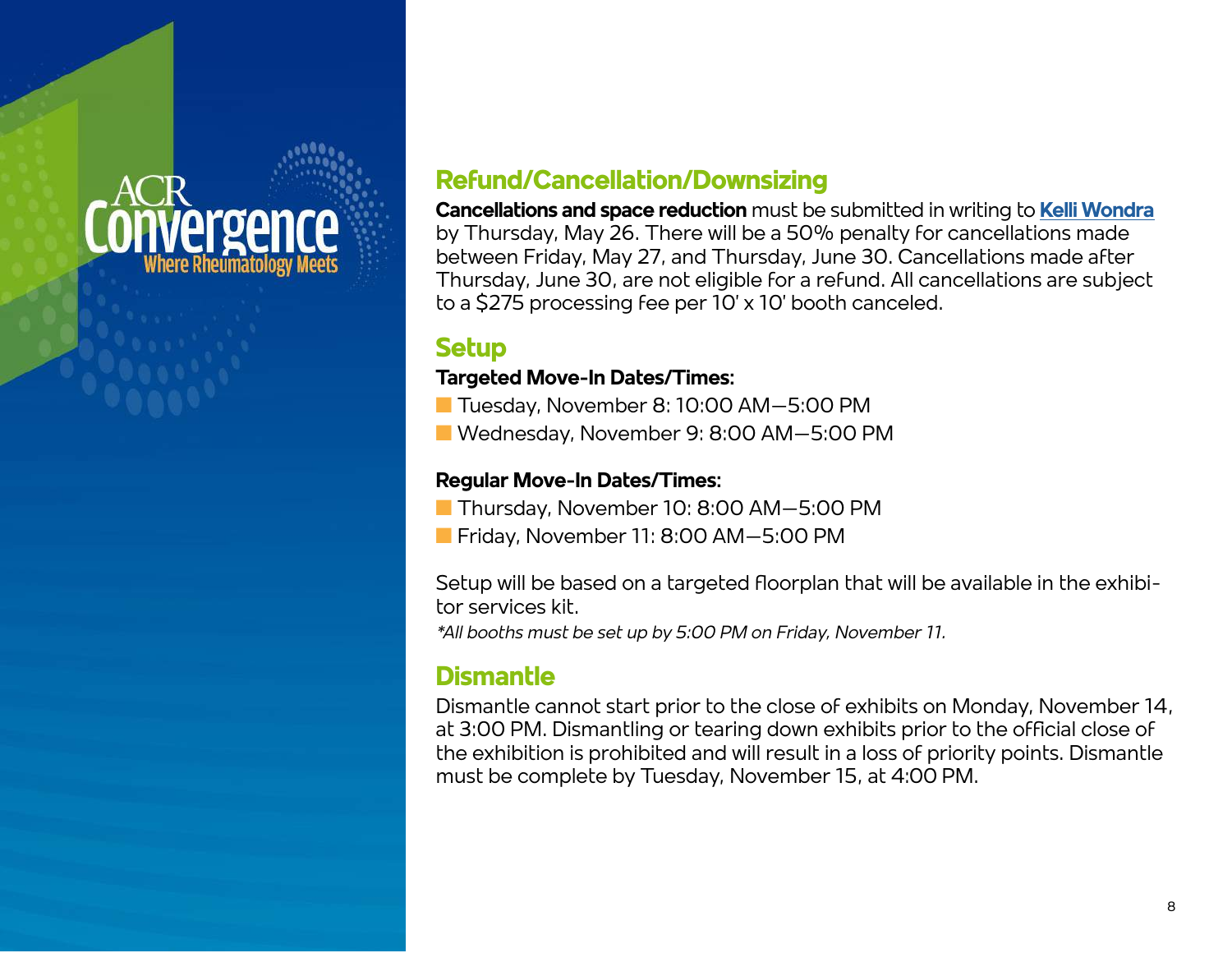# ρισρι

### **Refund/Cancellation/Downsizing**

**Cancellations and space reduction** must be submitted in writing to **[Kelli Wondra](mailto:KWondra%40rheumatology.org?subject=)** by Thursday, May 26. There will be a 50% penalty for cancellations made between Friday, May 27, and Thursday, June 30. Cancellations made after Thursday, June 30, are not eligible for a refund. All cancellations are subject to a \$275 processing fee per 10' x 10' booth canceled.

### **Setup**

### **Targeted Move-In Dates/Times:**

- Tuesday, November 8: 10:00 AM–5:00 PM
- Wednesday, November 9: 8:00 AM-5:00 PM

### **Regular Move-In Dates/Times:**

- Thursday, November 10: 8:00 AM–5:00 PM
- Friday, November 11: 8:00 AM–5:00 PM

Setup will be based on a targeted floorplan that will be available in the exhibitor services kit.

*\*All booths must be set up by 5:00 PM on Friday, November 11.* 

### **Dismantle**

Dismantle cannot start prior to the close of exhibits on Monday, November 14, at 3:00 PM. Dismantling or tearing down exhibits prior to the official close of the exhibition is prohibited and will result in a loss of priority points. Dismantle must be complete by Tuesday, November 15, at 4:00 PM.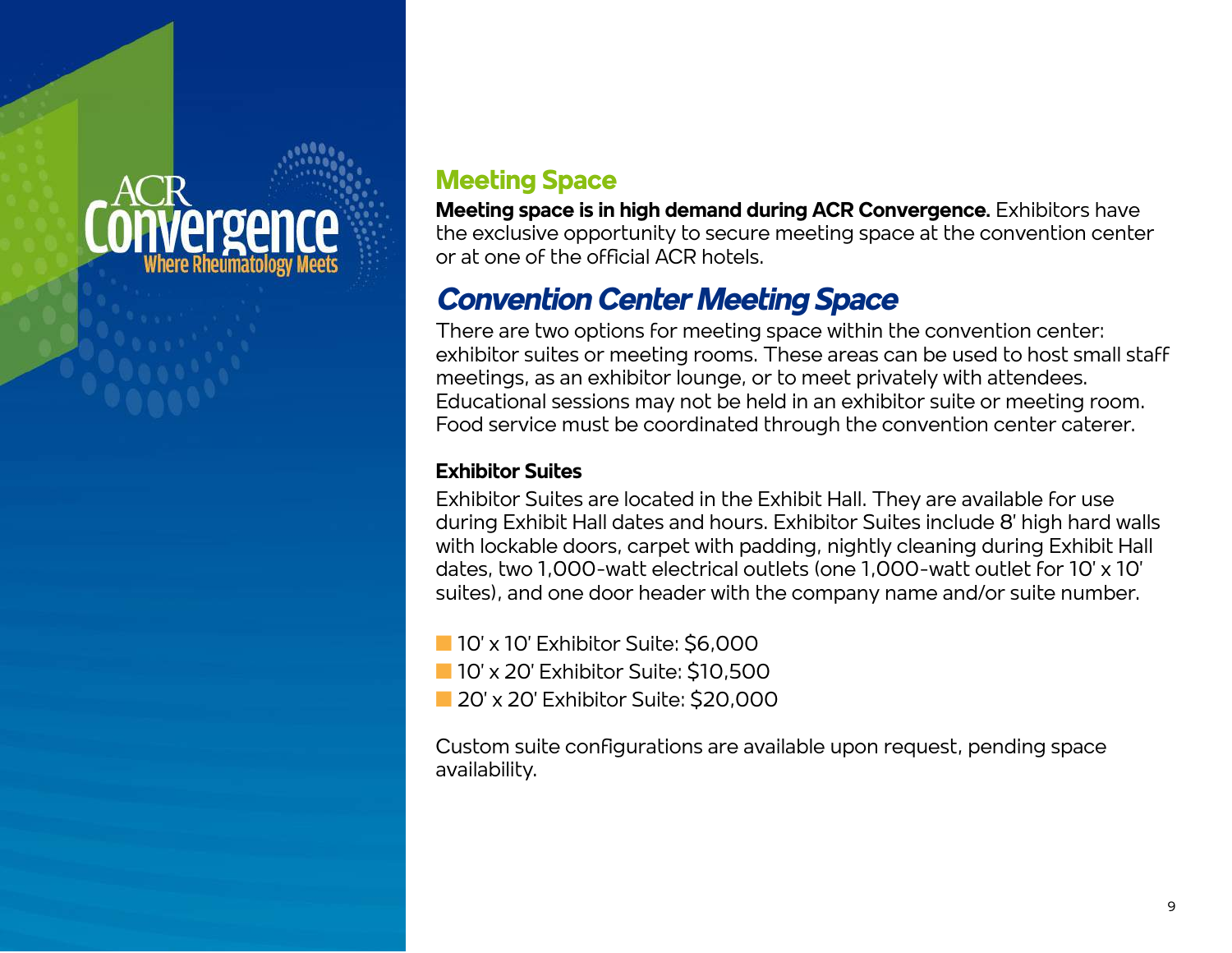### **Preen**

### **Meeting Space**

**Meeting space is in high demand during ACR Convergence.** Exhibitors have the exclusive opportunity to secure meeting space at the convention center or at one of the official ACR hotels.

### *Convention Center Meeting Space*

There are two options for meeting space within the convention center: exhibitor suites or meeting rooms. These areas can be used to host small staff meetings, as an exhibitor lounge, or to meet privately with attendees. Educational sessions may not be held in an exhibitor suite or meeting room. Food service must be coordinated through the convention center caterer.

### **Exhibitor Suites**

Exhibitor Suites are located in the Exhibit Hall. They are available for use during Exhibit Hall dates and hours. Exhibitor Suites include 8' high hard walls with lockable doors, carpet with padding, nightly cleaning during Exhibit Hall dates, two 1,000-watt electrical outlets (one 1,000-watt outlet for 10' x 10' suites), and one door header with the company name and/or suite number.

- n 10' x 10' Exhibitor Suite: \$6,000
- **n** 10' x 20' Exhibitor Suite: \$10,500
- 20' x 20' Exhibitor Suite: \$20,000

Custom suite configurations are available upon request, pending space availability.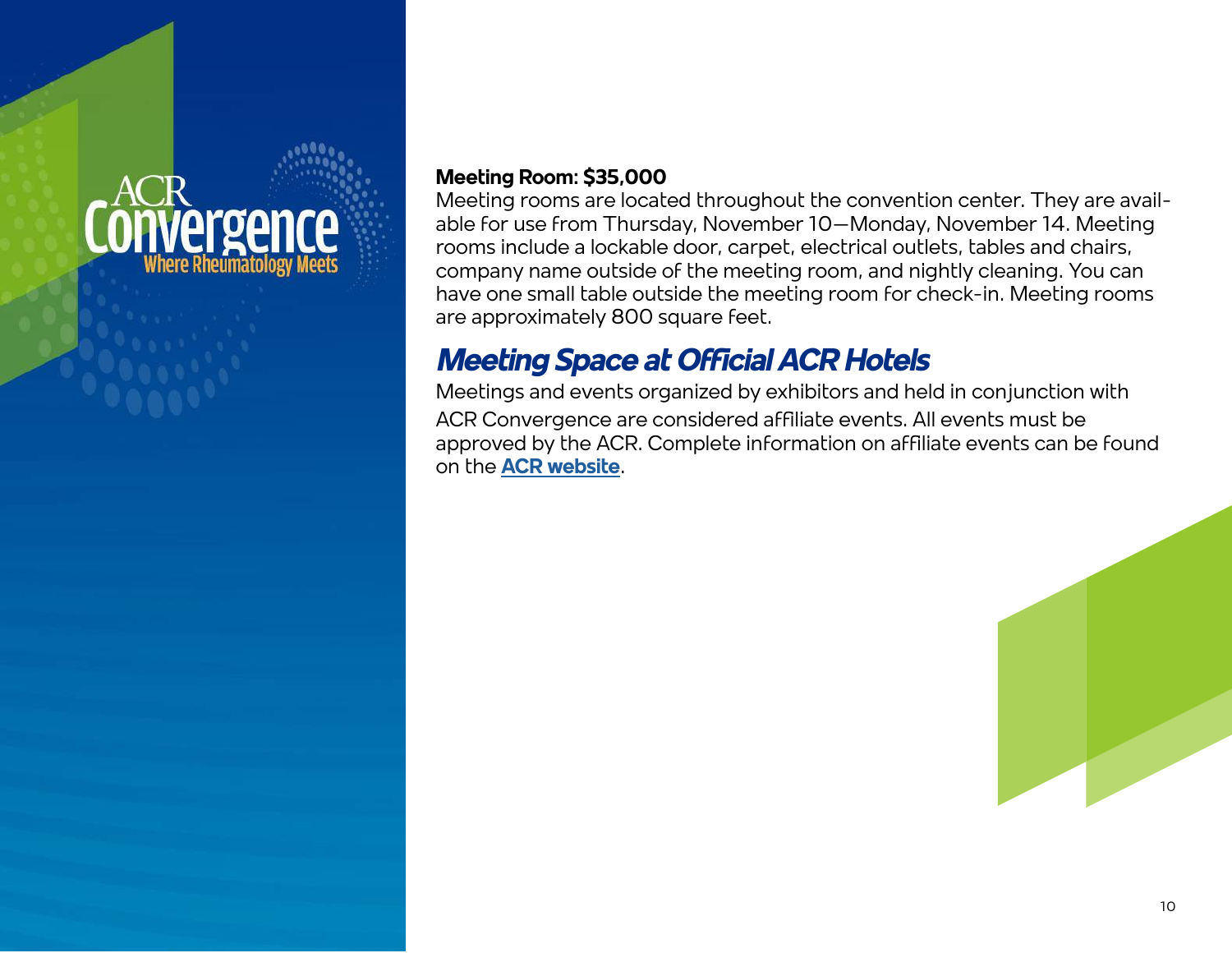# vergence

### **Meeting Room: \$35,000**

Meeting rooms are located throughout the convention center. They are available for use from Thursday, November 10–Monday, November 14. Meeting rooms include a lockable door, carpet, electrical outlets, tables and chairs, company name outside of the meeting room, and nightly cleaning. You can have one small table outside the meeting room for check-in. Meeting rooms are approximately 800 square feet.

### *Meeting Space at Official ACR Hotels*

Meetings and events organized by exhibitors and held in conjunction with ACR Convergence are considered affiliate events. All events must be approved by the ACR. Complete information on affiliate events can be found on the **[ACR website](https://www.rheumatology.org/Corporate-Relations/Affiliate-Events)**.

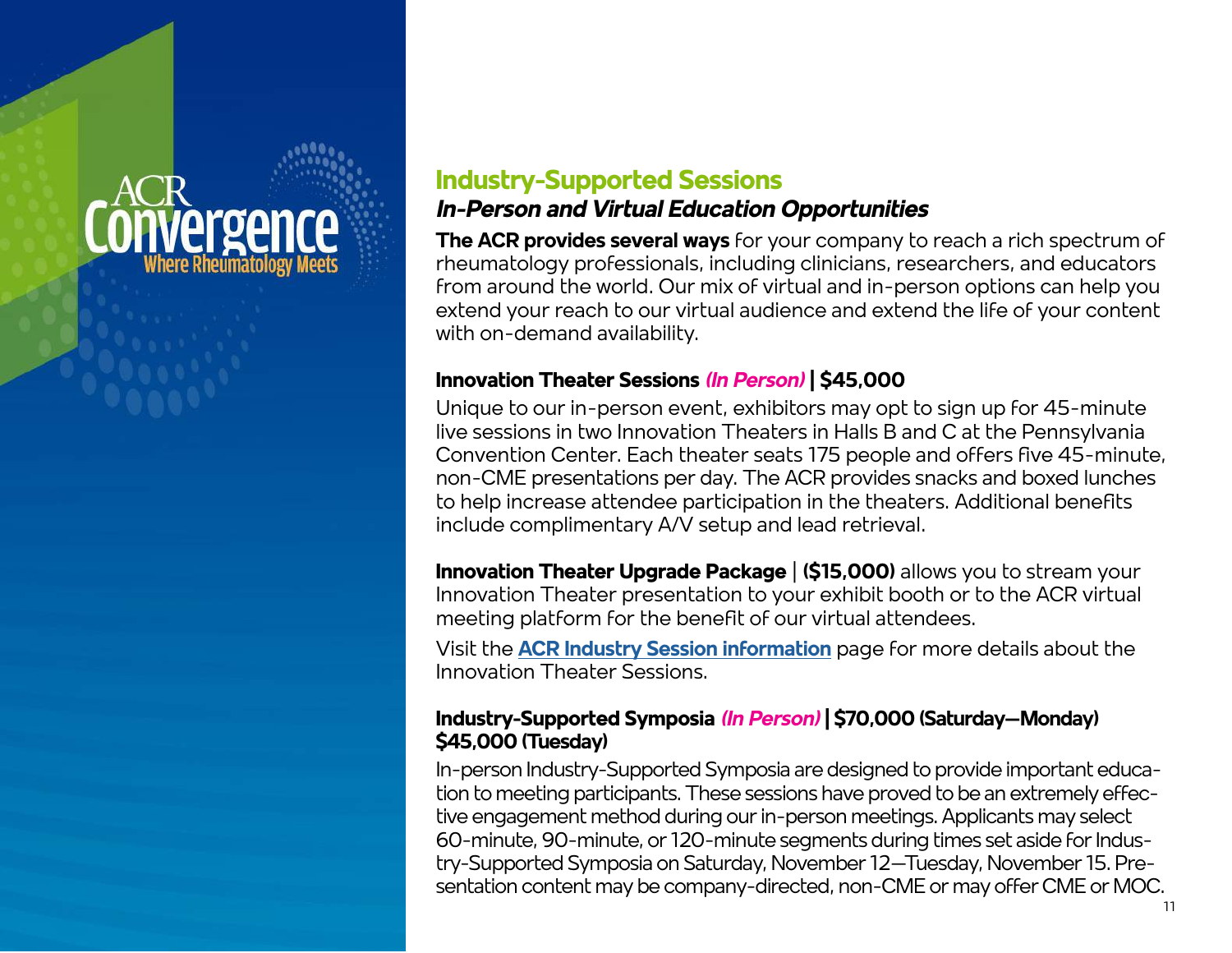### *IPTEPIT*

### **Industry-Supported Sessions** *In-Person and Virtual Education Opportunities*

**The ACR provides several ways** for your company to reach a rich spectrum of rheumatology professionals, including clinicians, researchers, and educators from around the world. Our mix of virtual and in-person options can help you extend your reach to our virtual audience and extend the life of your content with on-demand availability.

### **Innovation Theater Sessions** *(In Person)* **| \$45,000**

Unique to our in-person event, exhibitors may opt to sign up for 45-minute live sessions in two Innovation Theaters in Halls B and C at the Pennsylvania Convention Center. Each theater seats 175 people and offers five 45-minute, non-CME presentations per day. The ACR provides snacks and boxed lunches to help increase attendee participation in the theaters. Additional benefits include complimentary A/V setup and lead retrieval.

**Innovation Theater Upgrade Package | (\$15,000)** allows you to stream your Innovation Theater presentation to your exhibit booth or to the ACR virtual meeting platform for the benefit of our virtual attendees.

Visit the **[ACR Industry Session information](https://www.rheumatology.org/Annual-Meeting/Industry-Engagement/Industry-Supported-Sessions)** page for more details about the Innovation Theater Sessions.

#### **Industry-Supported Symposia** *(In Person)* **| \$70,000 (Saturday–Monday) \$45,000 (Tuesday)**

In-person Industry-Supported Symposia are designed to provide important education to meeting participants. These sessions have proved to be an extremely effective engagement method during our in-person meetings. Applicants may select 60-minute, 90-minute, or 120-minute segments during times set aside for Industry-Supported Symposia on Saturday, November 12–Tuesday, November 15. Presentation content may be company-directed, non-CME or may offer CME or MOC.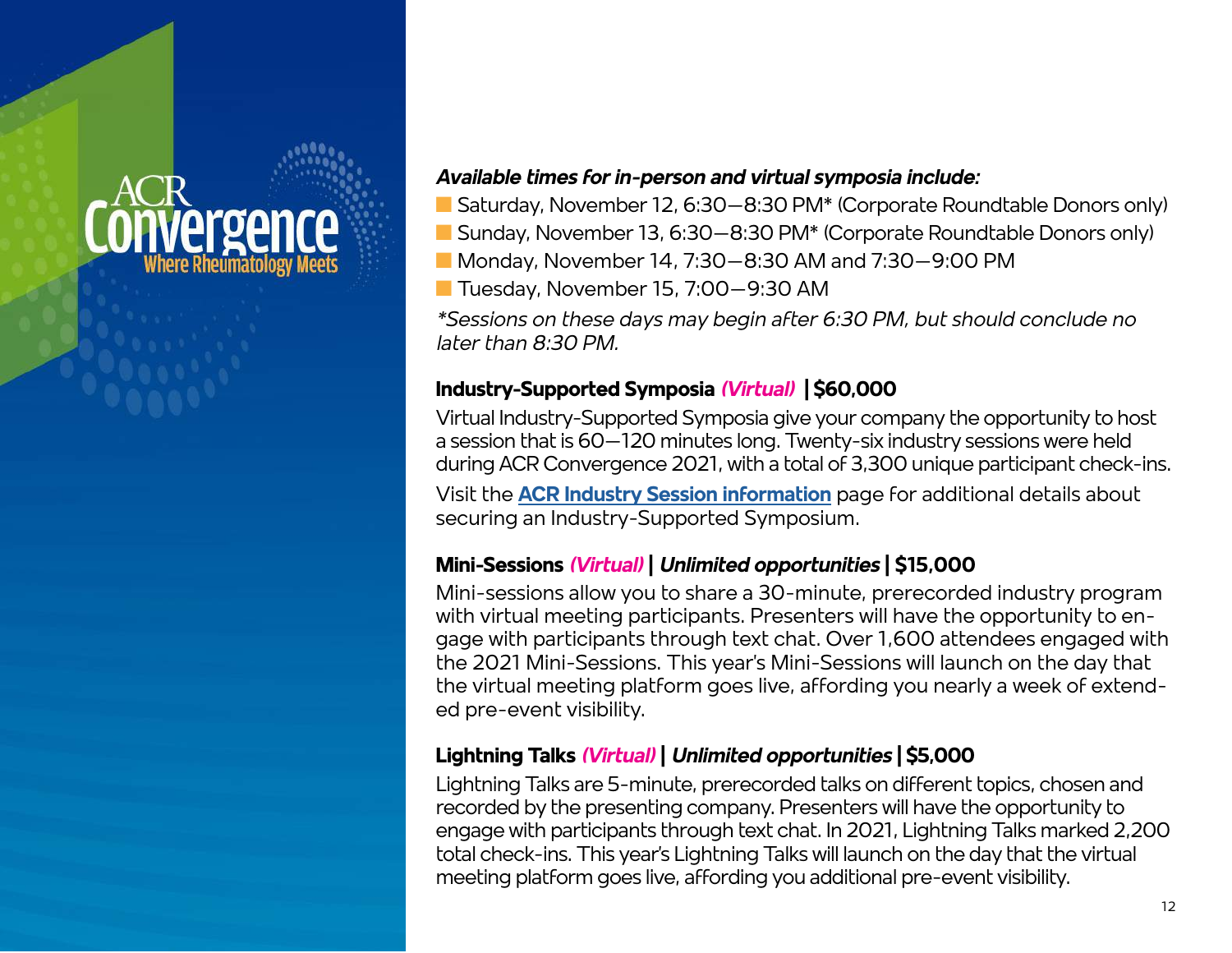### **Terger**

### *Available times for in-person and virtual symposia include:*

- Saturday, November 12, 6:30–8:30 PM<sup>\*</sup> (Corporate Roundtable Donors only)
- Sunday, November 13, 6:30–8:30 PM<sup>\*</sup> (Corporate Roundtable Donors only)
- Monday, November 14, 7:30–8:30 AM and 7:30–9:00 PM
- Tuesday, November 15, 7:00–9:30 AM

*\*Sessions on these days may begin after 6:30 PM, but should conclude no later than 8:30 PM.* 

### **Industry-Supported Symposia** *(Virtual)* **| \$60,000**

Virtual Industry-Supported Symposia give your company the opportunity to host a session that is 60–120 minutes long. Twenty-six industry sessions were held during ACR Convergence 2021, with a total of 3,300 unique participant check-ins.

Visit the **[ACR Industry Session information](https://www.rheumatology.org/Annual-Meeting/Industry-Engagement/Industry-Supported-Sessions)** page for additional details about securing an Industry-Supported Symposium.

### **Mini-Sessions** *(Virtual)* **|** *Unlimited opportunities* **| \$15,000**

Mini-sessions allow you to share a 30-minute, prerecorded industry program with virtual meeting participants. Presenters will have the opportunity to engage with participants through text chat. Over 1,600 attendees engaged with the 2021 Mini-Sessions. This year's Mini-Sessions will launch on the day that the virtual meeting platform goes live, affording you nearly a week of extended pre-event visibility.

### **Lightning Talks** *(Virtual)* **|** *Unlimited opportunities* **| \$5,000**

Lightning Talks are 5-minute, prerecorded talks on different topics, chosen and recorded by the presenting company. Presenters will have the opportunity to engage with participants through text chat. In 2021, Lightning Talks marked 2,200 total check-ins. This year's Lightning Talks will launch on the day that the virtual meeting platform goes live, affording you additional pre-event visibility.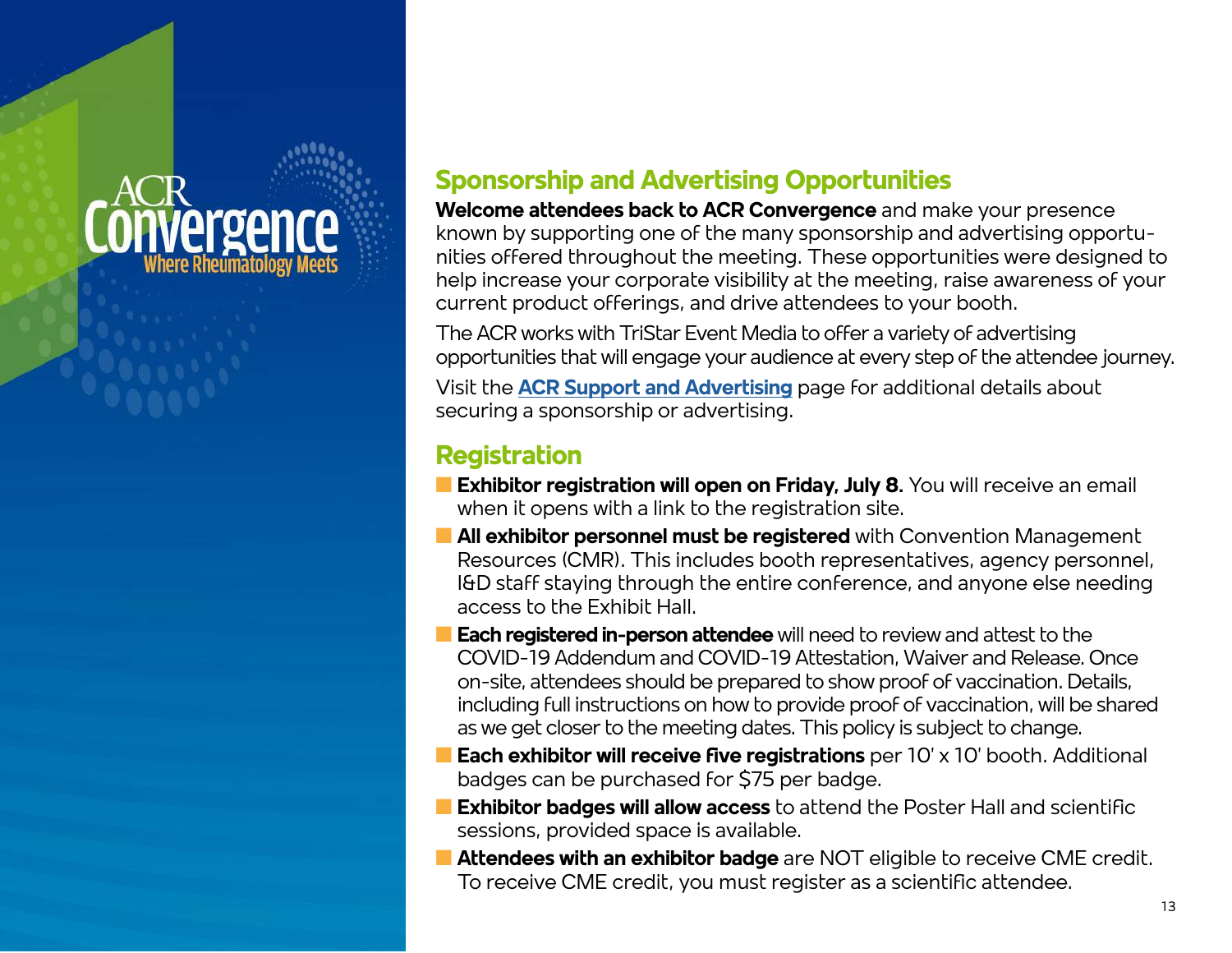# **Terger**

### **Sponsorship and Advertising Opportunities**

**Welcome attendees back to ACR Convergence** and make your presence known by supporting one of the many sponsorship and advertising opportunities offered throughout the meeting. These opportunities were designed to help increase your corporate visibility at the meeting, raise awareness of your current product offerings, and drive attendees to your booth.

The ACR works with TriStar Event Media to offer a variety of advertising opportunities that will engage your audience at every step of the attendee journey.

Visit the **[ACR Support and Advertising](https://www.rheumatology.org/Annual-Meeting/Industry-Engagement/Support-and-Advertising)** page for additional details about securing a sponsorship or advertising.

### **Registration**

- **Exhibitor registration will open on Friday, July 8.** You will receive an email when it opens with a link to the registration site.
- **n All exhibitor personnel must be registered** with Convention Management Resources (CMR). This includes booth representatives, agency personnel, I&D staff staying through the entire conference, and anyone else needing access to the Exhibit Hall.
- **Each registered in-person attendee** will need to review and attest to the COVID-19 Addendum and COVID-19 Attestation, Waiver and Release. Once on-site, attendees should be prepared to show proof of vaccination. Details, including full instructions on how to provide proof of vaccination, will be shared as we get closer to the meeting dates. This policy is subject to change.
- **Each exhibitor will receive five registrations** per 10' x 10' booth. Additional badges can be purchased for \$75 per badge.
- **Exhibitor badges will allow access** to attend the Poster Hall and scientific sessions, provided space is available.
- **n Attendees with an exhibitor badge** are NOT eligible to receive CME credit. To receive CME credit, you must register as a scientific attendee.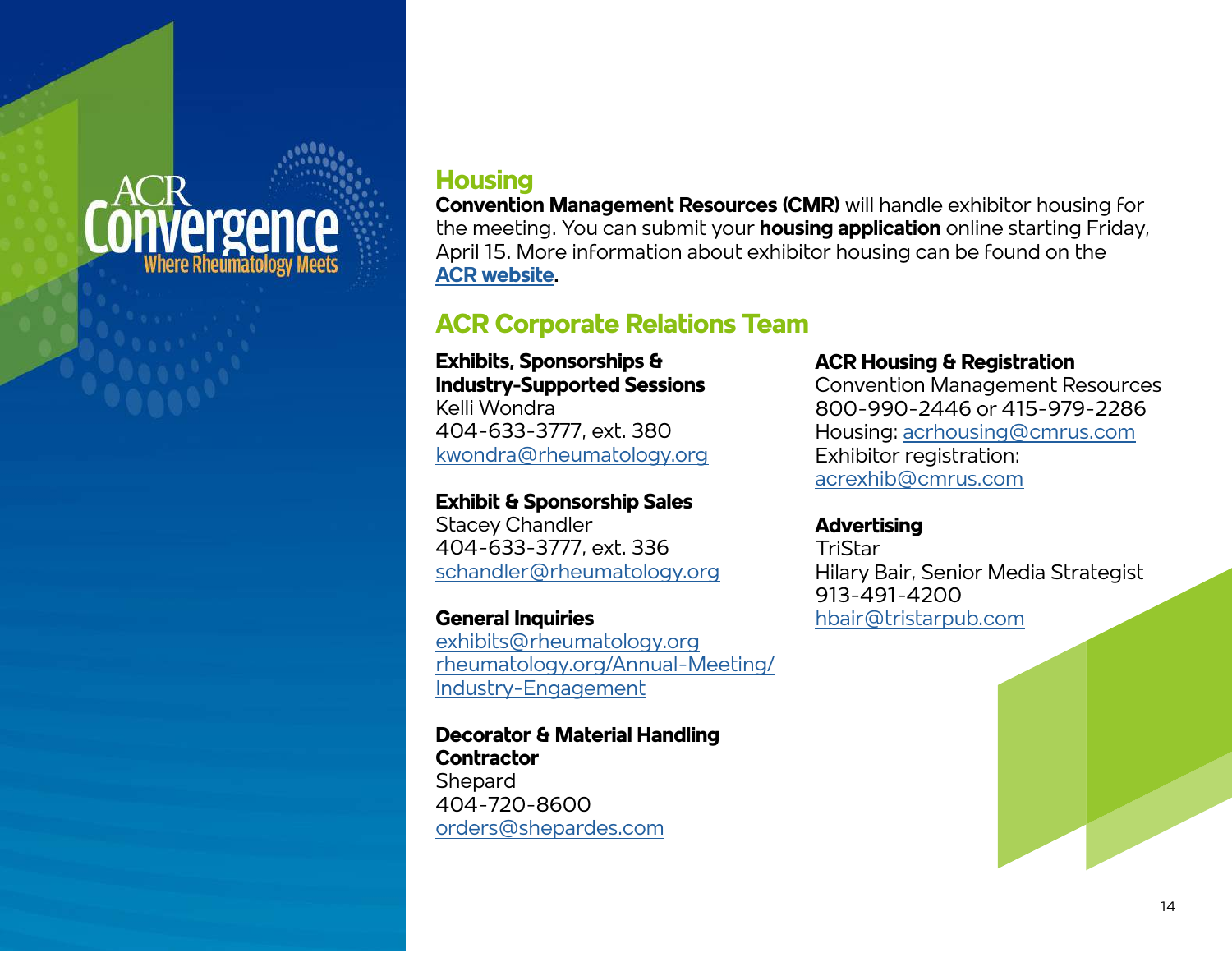### **Vergence Nhere Rheumatology Meets**

### **Housing**

**Convention Management Resources (CMR)** will handle exhibitor housing for the meeting. You can submit your **housing application** online starting Friday, April 15. More information about exhibitor housing can be found on the **[ACR website.](https://www.rheumatology.org/Annual-Meeting/Industry-Engagement/Exhibitor-Information)**

### **ACR Corporate Relations Team**

#### **Exhibits, Sponsorships & Industry-Supported Sessions**

Kelli Wondra 404-633-3777, ext. 380 [kwondra@rheumatology.org](mailto:kwondra%40rheumatology.org?subject=)

#### **Exhibit & Sponsorship Sales** Stacey Chandler

404-633-3777, ext. 336 [schandler@rheumatology.org](mailto:schandler%40rheumatology.org?subject=)

#### **General Inquiries** [exhibits@rheumatology.org](mailto:exhibits%40rheumatology.org?subject=) [rheumatology.org/Annual-Meeting/](https://www.rheumatology.org/Annual-Meeting/Industry-Engagement) [Industry-Engagement](https://www.rheumatology.org/Annual-Meeting/Industry-Engagement)

**Decorator & Material Handling Contractor Shepard** 404-720-8600 [orders@shepardes.com](mailto:orders%40shepardes.com?subject=)

#### **ACR Housing & Registration**

Convention Management Resources 800-990-2446 or 415-979-2286 Housing: [acrhousing@cmrus.com](mailto:acrhousing%40cmrus.com?subject=) Exhibitor registration: [acrexhib@cmrus.com](mailto:acrexhib%40cmrus.com?subject=)

#### **Advertising**

**TriStar** Hilary Bair, Senior Media Strategist 913-491-4200 [hbair@tristarpub.com](mailto:hbair%40tristarpub.com%20?subject=)